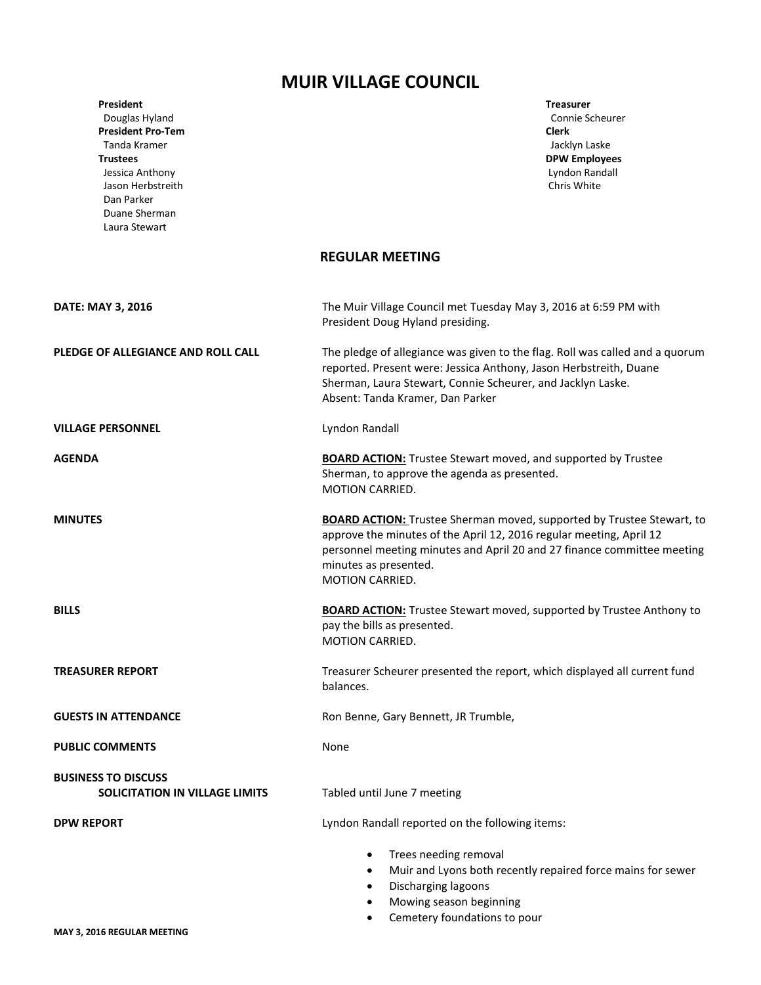## **MUIR VILLAGE COUNCIL**

| IVIUIN VILLAUL LUUIVUL                                                                                                                                                                    |                                                                                                                                                                                                                                                                            |
|-------------------------------------------------------------------------------------------------------------------------------------------------------------------------------------------|----------------------------------------------------------------------------------------------------------------------------------------------------------------------------------------------------------------------------------------------------------------------------|
| <b>President</b><br>Douglas Hyland<br><b>President Pro-Tem</b><br>Tanda Kramer<br><b>Trustees</b><br>Jessica Anthony<br>Jason Herbstreith<br>Dan Parker<br>Duane Sherman<br>Laura Stewart | <b>Treasurer</b><br>Connie Scheurer<br><b>Clerk</b><br>Jacklyn Laske<br><b>DPW Employees</b><br>Lyndon Randall<br>Chris White                                                                                                                                              |
|                                                                                                                                                                                           | <b>REGULAR MEETING</b>                                                                                                                                                                                                                                                     |
| DATE: MAY 3, 2016                                                                                                                                                                         | The Muir Village Council met Tuesday May 3, 2016 at 6:59 PM with<br>President Doug Hyland presiding.                                                                                                                                                                       |
| PLEDGE OF ALLEGIANCE AND ROLL CALL                                                                                                                                                        | The pledge of allegiance was given to the flag. Roll was called and a quorum<br>reported. Present were: Jessica Anthony, Jason Herbstreith, Duane<br>Sherman, Laura Stewart, Connie Scheurer, and Jacklyn Laske.<br>Absent: Tanda Kramer, Dan Parker                       |
| <b>VILLAGE PERSONNEL</b>                                                                                                                                                                  | Lyndon Randall                                                                                                                                                                                                                                                             |
| <b>AGENDA</b>                                                                                                                                                                             | <b>BOARD ACTION:</b> Trustee Stewart moved, and supported by Trustee<br>Sherman, to approve the agenda as presented.<br><b>MOTION CARRIED.</b>                                                                                                                             |
| <b>MINUTES</b>                                                                                                                                                                            | <b>BOARD ACTION:</b> Trustee Sherman moved, supported by Trustee Stewart, to<br>approve the minutes of the April 12, 2016 regular meeting, April 12<br>personnel meeting minutes and April 20 and 27 finance committee meeting<br>minutes as presented.<br>MOTION CARRIED. |
| <b>BILLS</b>                                                                                                                                                                              | <b>BOARD ACTION:</b> Trustee Stewart moved, supported by Trustee Anthony to<br>pay the bills as presented.<br>MOTION CARRIED.                                                                                                                                              |
| <b>TREASURER REPORT</b>                                                                                                                                                                   | Treasurer Scheurer presented the report, which displayed all current fund<br>balances.                                                                                                                                                                                     |
| <b>GUESTS IN ATTENDANCE</b>                                                                                                                                                               | Ron Benne, Gary Bennett, JR Trumble,                                                                                                                                                                                                                                       |
| <b>PUBLIC COMMENTS</b>                                                                                                                                                                    | None                                                                                                                                                                                                                                                                       |
| <b>BUSINESS TO DISCUSS</b><br>SOLICITATION IN VILLAGE LIMITS                                                                                                                              | Tabled until June 7 meeting                                                                                                                                                                                                                                                |
| <b>DPW REPORT</b>                                                                                                                                                                         | Lyndon Randall reported on the following items:                                                                                                                                                                                                                            |
|                                                                                                                                                                                           | Trees needing removal<br>٠<br>Muir and Lyons both recently repaired force mains for sewer<br>$\bullet$<br>Discharging lagoons<br>$\bullet$<br>Mowing season beginning<br>$\bullet$<br>Cemetery foundations to pour                                                         |